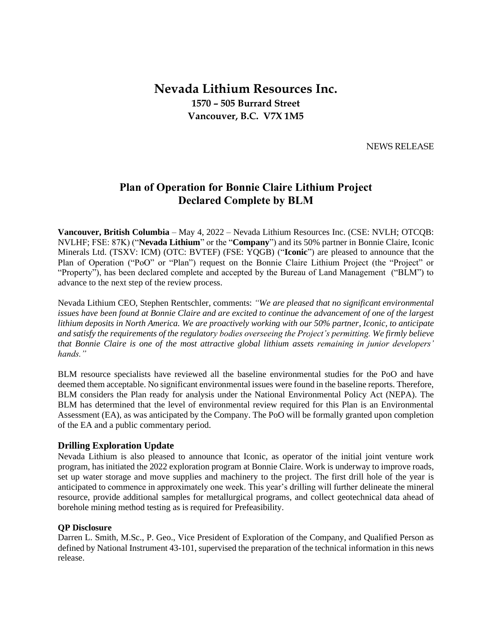# **Nevada Lithium Resources Inc. 1570 – 505 Burrard Street Vancouver, B.C. V7X 1M5**

NEWS RELEASE

# **Plan of Operation for Bonnie Claire Lithium Project Declared Complete by BLM**

**Vancouver, British Columbia** – May 4, 2022 – Nevada Lithium Resources Inc. (CSE: NVLH; OTCQB: NVLHF; FSE: 87K) ("**Nevada Lithium**" or the "**Company**") and its 50% partner in Bonnie Claire, Iconic Minerals Ltd. (TSXV: ICM) (OTC: BVTEF) (FSE: YQGB) ("**Iconic**") are pleased to announce that the Plan of Operation ("PoO" or "Plan") request on the Bonnie Claire Lithium Project (the "Project" or "Property"), has been declared complete and accepted by the Bureau of Land Management ("BLM") to advance to the next step of the review process.

Nevada Lithium CEO, Stephen Rentschler, comments: *"We are pleased that no significant environmental issues have been found at Bonnie Claire and are excited to continue the advancement of one of the largest lithium deposits in North America. We are proactively working with our 50% partner, Iconic, to anticipate and satisfy the requirements of the regulatory bodies overseeing the Project's permitting. We firmly believe that Bonnie Claire is one of the most attractive global lithium assets remaining in junior developers' hands."*

BLM resource specialists have reviewed all the baseline environmental studies for the PoO and have deemed them acceptable. No significant environmental issues were found in the baseline reports. Therefore, BLM considers the Plan ready for analysis under the National Environmental Policy Act (NEPA). The BLM has determined that the level of environmental review required for this Plan is an Environmental Assessment (EA), as was anticipated by the Company. The PoO will be formally granted upon completion of the EA and a public commentary period.

## **Drilling Exploration Update**

Nevada Lithium is also pleased to announce that Iconic, as operator of the initial joint venture work program, has initiated the 2022 exploration program at Bonnie Claire. Work is underway to improve roads, set up water storage and move supplies and machinery to the project. The first drill hole of the year is anticipated to commence in approximately one week. This year's drilling will further delineate the mineral resource, provide additional samples for metallurgical programs, and collect geotechnical data ahead of borehole mining method testing as is required for Prefeasibility.

#### **QP Disclosure**

Darren L. Smith, M.Sc., P. Geo., Vice President of Exploration of the Company, and Qualified Person as defined by National Instrument 43-101, supervised the preparation of the technical information in this news release.